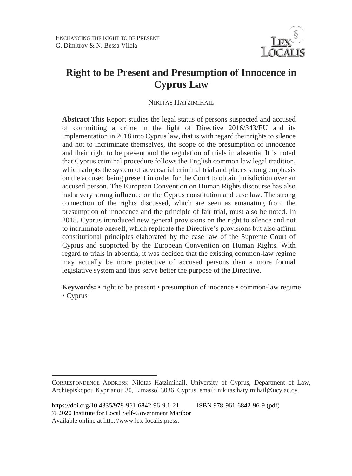$\overline{a}$ 



# **Right to be Present and Presumption of Innocence in Cyprus Law**

NIKITAS HATZIMIHAIL

**Abstract** This Report studies the legal status of persons suspected and accused of committing a crime in the light of Directive 2016/343/EU and its implementation in 2018 into Cyprus law, that is with regard their rights to silence and not to incriminate themselves, the scope of the presumption of innocence and their right to be present and the regulation of trials in absentia. It is noted that Cyprus criminal procedure follows the English common law legal tradition, which adopts the system of adversarial criminal trial and places strong emphasis on the accused being present in order for the Court to obtain jurisdiction over an accused person. The European Convention on Human Rights discourse has also had a very strong influence on the Cyprus constitution and case law. The strong connection of the rights discussed, which are seen as emanating from the presumption of innocence and the principle of fair trial, must also be noted. In 2018, Cyprus introduced new general provisions on the right to silence and not to incriminate oneself, which replicate the Directive's provisions but also affirm constitutional principles elaborated by the case law of the Supreme Court of Cyprus and supported by the European Convention on Human Rights. With regard to trials in absentia, it was decided that the existing common-law regime may actually be more protective of accused persons than a more formal legislative system and thus serve better the purpose of the Directive.

**Keywords:** • right to be present • presumption of inocence • common-law regime • Cyprus

CORRESPONDENCE ADDRESS: Nikitas Hatzimihail, University of Cyprus, Department of Law, Archiepiskopou Kyprianou 30, Limassol 3036, Cyprus, email: nikitas.hatyimihail@ucy.ac.cy.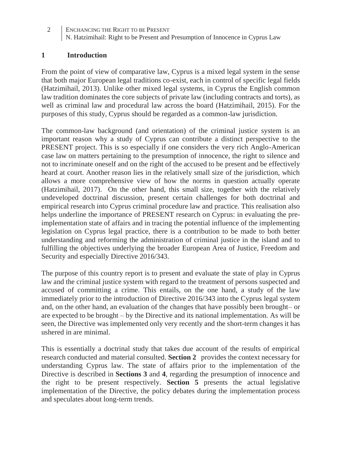#### **1 Introduction**

From the point of view of comparative law, Cyprus is a mixed legal system in the sense that both major European legal traditions co-exist, each in control of specific legal fields (Hatzimihail, 2013). Unlike other mixed legal systems, in Cyprus the English common law tradition dominates the core subjects of private law (including contracts and torts), as well as criminal law and procedural law across the board (Hatzimihail, 2015). For the purposes of this study, Cyprus should be regarded as a common-law jurisdiction.

The common-law background (and orientation) of the criminal justice system is an important reason why a study of Cyprus can contribute a distinct perspective to the PRESENT project. This is so especially if one considers the very rich Anglo-American case law on matters pertaining to the presumption of innocence, the right to silence and not to incriminate oneself and on the right of the accused to be present and be effectively heard at court. Another reason lies in the relatively small size of the jurisdiction, which allows a more comprehensive view of how the norms in question actually operate (Hatzimihail, 2017). On the other hand, this small size, together with the relatively undeveloped doctrinal discussion, present certain challenges for both doctrinal and empirical research into Cyprus criminal procedure law and practice. This realisation also helps underline the importance of PRESENT research on Cyprus: in evaluating the preimplementation state of affairs and in tracing the potential influence of the implementing legislation on Cyprus legal practice, there is a contribution to be made to both better understanding and reforming the administration of criminal justice in the island and to fulfilling the objectives underlying the broader European Area of Justice, Freedom and Security and especially Directive 2016/343.

The purpose of this country report is to present and evaluate the state of play in Cyprus law and the criminal justice system with regard to the treatment of persons suspected and accused of committing a crime. This entails, on the one hand, a study of the law immediately prior to the introduction of Directive 2016/343 into the Cyprus legal system and, on the other hand, an evaluation of the changes that have possibly been brought– or are expected to be brought – by the Directive and its national implementation. As will be seen, the Directive was implemented only very recently and the short-term changes it has ushered in are minimal.

This is essentially a doctrinal study that takes due account of the results of empirical research conducted and material consulted. **Section 2** provides the context necessary for understanding Cyprus law. The state of affairs prior to the implementation of the Directive is described in **Sections 3** and **4**, regarding the presumption of innocence and the right to be present respectively. **Section 5** presents the actual legislative implementation of the Directive, the policy debates during the implementation process and speculates about long-term trends.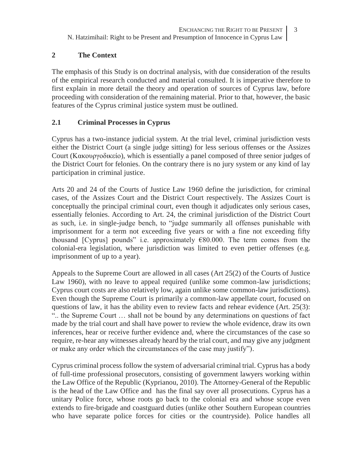#### **2 The Context**

The emphasis of this Study is on doctrinal analysis, with due consideration of the results of the empirical research conducted and material consulted. It is imperative therefore to first explain in more detail the theory and operation of sources of Cyprus law, before proceeding with consideration of the remaining material. Prior to that, however, the basic features of the Cyprus criminal justice system must be outlined.

### **2.1 Criminal Processes in Cyprus**

Cyprus has a two-instance judicial system. At the trial level, criminal jurisdiction vests either the District Court (a single judge sitting) for less serious offenses or the Assizes Court (Κακουργοδικείο), which is essentially a panel composed of three senior judges of the District Court for felonies. On the contrary there is no jury system or any kind of lay participation in criminal justice.

Arts 20 and 24 of the Courts of Justice Law 1960 define the jurisdiction, for criminal cases, of the Assizes Court and the District Court respectively. The Assizes Court is conceptually the principal criminal court, even though it adjudicates only serious cases, essentially felonies. According to Art. 24, the criminal jurisdiction of the District Court as such, i.e. in single-judge bench, to "judge summarily all offenses punishable with imprisonment for a term not exceeding five years or with a fine not exceeding fifty thousand [Cyprus] pounds" i.e. approximately  $€80.000$ . The term comes from the colonial-era legislation, where jurisdiction was limited to even pettier offenses (e.g. imprisonment of up to a year).

Appeals to the Supreme Court are allowed in all cases (Art 25(2) of the Courts of Justice Law 1960), with no leave to appeal required (unlike some common-law jurisdictions; Cyprus court costs are also relatively low, again unlike some common-law jurisdictions). Even though the Supreme Court is primarily a common-law appellate court, focused on questions of law, it has the ability even to review facts and rehear evidence (Art. 25(3): ".. the Supreme Court … shall not be bound by any determinations on questions of fact made by the trial court and shall have power to review the whole evidence, draw its own inferences, hear or receive further evidence and, where the circumstances of the case so require, re-hear any witnesses already heard by the trial court, and may give any judgment or make any order which the circumstances of the case may justify").

Cyprus criminal process follow the system of adversarial criminal trial. Cyprus has a body of full-time professional prosecutors, consisting of government lawyers working within the Law Office of the Republic (Kyprianou, 2010). The Attorney-General of the Republic is the head of the Law Office and has the final say over all prosecutions. Cyprus has a unitary Police force, whose roots go back to the colonial era and whose scope even extends to fire-brigade and coastguard duties (unlike other Southern European countries who have separate police forces for cities or the countryside). Police handles all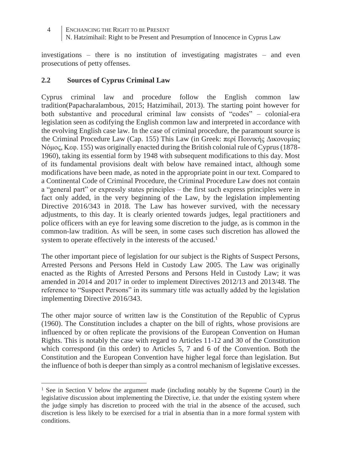investigations – there is no institution of investigating magistrates – and even prosecutions of petty offenses.

#### **2.2 Sources of Cyprus Criminal Law**

 $\overline{a}$ 

Cyprus criminal law and procedure follow the English common law tradition(Papacharalambous, 2015; Hatzimihail, 2013). The starting point however for both substantive and procedural criminal law consists of "codes" – colonial-era legislation seen as codifying the English common law and interpreted in accordance with the evolving English case law. In the case of criminal procedure, the paramount source is the Criminal Procedure Law (Cap. 155) This Law (in Greek: περί Ποινικής Δικονομίας Νόμος, Κεφ. 155) was originally enacted during the British colonial rule of Cyprus (1878- 1960), taking its essential form by 1948 with subsequent modifications to this day. Most of its fundamental provisions dealt with below have remained intact, although some modifications have been made, as noted in the appropriate point in our text. Compared to a Continental Code of Criminal Procedure, the Criminal Procedure Law does not contain a "general part" or expressly states principles – the first such express principles were in fact only added, in the very beginning of the Law, by the legislation implementing Directive 2016/343 in 2018. The Law has however survived, with the necessary adjustments, to this day. It is clearly oriented towards judges, legal practitioners and police officers with an eye for leaving some discretion to the judge, as is common in the common-law tradition. As will be seen, in some cases such discretion has allowed the system to operate effectively in the interests of the accused.<sup>1</sup>

The other important piece of legislation for our subject is the Rights of Suspect Persons, Arrested Persons and Persons Held in Custody Law 2005. The Law was originally enacted as the Rights of Arrested Persons and Persons Held in Custody Law; it was amended in 2014 and 2017 in order to implement Directives 2012/13 and 2013/48. The reference to "Suspect Persons" in its summary title was actually added by the legislation implementing Directive 2016/343.

The other major source of written law is the Constitution of the Republic of Cyprus (1960). The Constitution includes a chapter on the bill of rights, whose provisions are influenced by or often replicate the provisions of the European Convention on Human Rights. This is notably the case with regard to Articles 11-12 and 30 of the Constitution which correspond (in this order) to Articles 5, 7 and 6 of the Convention. Both the Constitution and the European Convention have higher legal force than legislation. But the influence of both is deeper than simply as a control mechanism of legislative excesses.

<sup>&</sup>lt;sup>1</sup> See in Section V below the argument made (including notably by the Supreme Court) in the legislative discussion about implementing the Directive, i.e. that under the existing system where the judge simply has discretion to proceed with the trial in the absence of the accused, such discretion is less likely to be exercised for a trial in absentia than in a more formal system with conditions.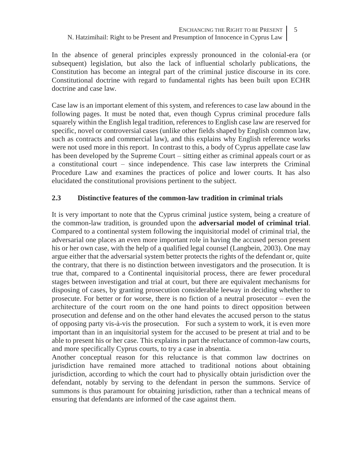In the absence of general principles expressly pronounced in the colonial-era (or subsequent) legislation, but also the lack of influential scholarly publications, the Constitution has become an integral part of the criminal justice discourse in its core. Constitutional doctrine with regard to fundamental rights has been built upon ECHR doctrine and case law.

Case law is an important element of this system, and references to case law abound in the following pages. It must be noted that, even though Cyprus criminal procedure falls squarely within the English legal tradition, references to English case law are reserved for specific, novel or controversial cases (unlike other fields shaped by English common law, such as contracts and commercial law), and this explains why English reference works were not used more in this report. In contrast to this, a body of Cyprus appellate case law has been developed by the Supreme Court – sitting either as criminal appeals court or as a constitutional court – since independence. This case law interprets the Criminal Procedure Law and examines the practices of police and lower courts. It has also elucidated the constitutional provisions pertinent to the subject.

#### **2.3 Distinctive features of the common-law tradition in criminal trials**

It is very important to note that the Cyprus criminal justice system, being a creature of the common-law tradition, is grounded upon the **adversarial model of criminal trial**. Compared to a continental system following the inquisitorial model of criminal trial, the adversarial one places an even more important role in having the accused person present his or her own case, with the help of a qualified legal counsel (Langbein, 2003). One may argue either that the adversarial system better protects the rights of the defendant or, quite the contrary, that there is no distinction between investigators and the prosecution. It is true that, compared to a Continental inquisitorial process, there are fewer procedural stages between investigation and trial at court, but there are equivalent mechanisms for disposing of cases, by granting prosecution considerable leeway in deciding whether to prosecute. For better or for worse, there is no fiction of a neutral prosecutor – even the architecture of the court room on the one hand points to direct opposition between prosecution and defense and on the other hand elevates the accused person to the status of opposing party vis-à-vis the prosecution. For such a system to work, it is even more important than in an inquisitorial system for the accused to be present at trial and to be able to present his or her case. This explains in part the reluctance of common-law courts, and more specifically Cyprus courts, to try a case in absentia.

Another conceptual reason for this reluctance is that common law doctrines on jurisdiction have remained more attached to traditional notions about obtaining jurisdiction, according to which the court had to physically obtain jurisdiction over the defendant, notably by serving to the defendant in person the summons. Service of summons is thus paramount for obtaining jurisdiction, rather than a technical means of ensuring that defendants are informed of the case against them.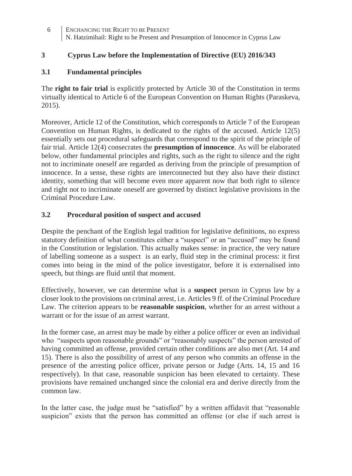### **3 Cyprus Law before the Implementation of Directive (EU) 2016/343**

### **3.1 Fundamental principles**

The **right to fair trial** is explicitly protected by Article 30 of the Constitution in terms virtually identical to Article 6 of the European Convention on Human Rights (Paraskeva, 2015).

Moreover, Article 12 of the Constitution, which corresponds to Article 7 of the European Convention on Human Rights, is dedicated to the rights of the accused. Article 12(5) essentially sets out procedural safeguards that correspond to the spirit of the principle of fair trial. Article 12(4) consecrates the **presumption of innocence**. As will be elaborated below, other fundamental principles and rights, such as the right to silence and the right not to incriminate oneself are regarded as deriving from the principle of presumption of innocence. In a sense, these rights are interconnected but they also have their distinct identity, something that will become even more apparent now that both right to silence and right not to incriminate oneself are governed by distinct legislative provisions in the Criminal Procedure Law.

### **3.2 Procedural position of suspect and accused**

Despite the penchant of the English legal tradition for legislative definitions, no express statutory definition of what constitutes either a "suspect" or an "accused" may be found in the Constitution or legislation. This actually makes sense: in practice, the very nature of labelling someone as a suspect is an early, fluid step in the criminal process: it first comes into being in the mind of the police investigator, before it is externalised into speech, but things are fluid until that moment.

Effectively, however, we can determine what is a **suspect** person in Cyprus law by a closer look to the provisions on criminal arrest, i.e. Articles 9 ff. of the Criminal Procedure Law. The criterion appears to be **reasonable suspicion**, whether for an arrest without a warrant or for the issue of an arrest warrant.

In the former case, an arrest may be made by either a police officer or even an individual who "suspects upon reasonable grounds" or "reasonably suspects" the person arrested of having committed an offense, provided certain other conditions are also met (Art. 14 and 15). There is also the possibility of arrest of any person who commits an offense in the presence of the arresting police officer, private person or Judge (Arts. 14, 15 and 16 respectively). In that case, reasonable suspicion has been elevated to certainty. These provisions have remained unchanged since the colonial era and derive directly from the common law.

In the latter case, the judge must be "satisfied" by a written affidavit that "reasonable suspicion" exists that the person has committed an offense (or else if such arrest is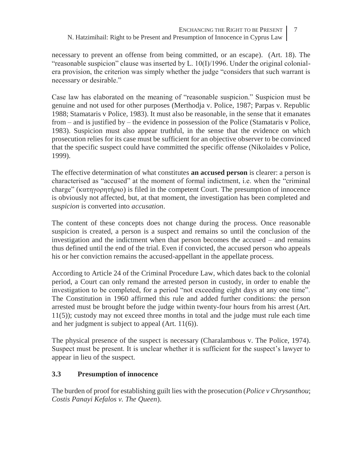necessary to prevent an offense from being committed, or an escape). (Art. 18). The "reasonable suspicion" clause was inserted by L.  $10(I)/1996$ . Under the original colonialera provision, the criterion was simply whether the judge "considers that such warrant is necessary or desirable."

Case law has elaborated on the meaning of "reasonable suspicion." Suspicion must be genuine and not used for other purposes (Merthodja v. Police, 1987; Parpas v. Republic 1988; Stamataris v Police, 1983). It must also be reasonable, in the sense that it emanates from – and is justified by – the evidence in possession of the Police (Stamataris v Police, 1983). Suspicion must also appear truthful, in the sense that the evidence on which prosecution relies for its case must be sufficient for an objective observer to be convinced that the specific suspect could have committed the specific offense (Nikolaides v Police, 1999).

The effective determination of what constitutes **an accused person** is clearer: a person is characterised as "accused" at the moment of formal indictment, i.e. when the "criminal charge" (κατηγορητήριο) is filed in the competent Court. The presumption of innocence is obviously not affected, but, at that moment, the investigation has been completed and *suspicion* is converted into *accusation*.

The content of these concepts does not change during the process. Once reasonable suspicion is created, a person is a suspect and remains so until the conclusion of the investigation and the indictment when that person becomes the accused – and remains thus defined until the end of the trial. Even if convicted, the accused person who appeals his or her conviction remains the accused-appellant in the appellate process.

According to Article 24 of the Criminal Procedure Law, which dates back to the colonial period, a Court can only remand the arrested person in custody, in order to enable the investigation to be completed, for a period "not exceeding eight days at any one time". The Constitution in 1960 affirmed this rule and added further conditions: the person arrested must be brought before the judge within twenty-four hours from his arrest (Art. 11(5)); custody may not exceed three months in total and the judge must rule each time and her judgment is subject to appeal (Art. 11(6)).

The physical presence of the suspect is necessary (Charalambous v. The Police, 1974). Suspect must be present. It is unclear whether it is sufficient for the suspect's lawyer to appear in lieu of the suspect.

## **3.3 Presumption of innocence**

The burden of proof for establishing guilt lies with the prosecution (*Police v Chrysanthou*; *Costis Panayi Kefalos v. The Queen*).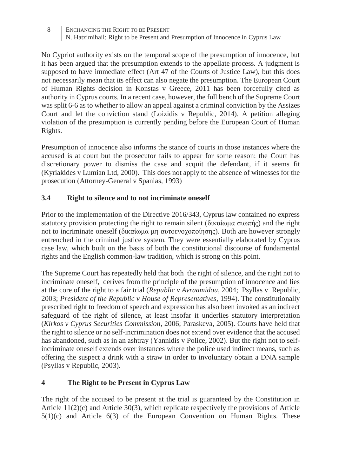No Cypriot authority exists on the temporal scope of the presumption of innocence, but it has been argued that the presumption extends to the appellate process. A judgment is supposed to have immediate effect (Art 47 of the Courts of Justice Law), but this does not necessarily mean that its effect can also negate the presumption. The European Court of Human Rights decision in Konstas v Greece, 2011 has been forcefully cited as authority in Cyprus courts. In a recent case, however, the full bench of the Supreme Court was split 6-6 as to whether to allow an appeal against a criminal conviction by the Assizes Court and let the conviction stand (Loizidis v Republic, 2014). A petition alleging violation of the presumption is currently pending before the European Court of Human Rights.

Presumption of innocence also informs the stance of courts in those instances where the accused is at court but the prosecutor fails to appear for some reason: the Court has discretionary power to dismiss the case and acquit the defendant, if it seems fit (Kyriakides v Lumian Ltd, 2000). This does not apply to the absence of witnesses for the prosecution (Attorney-General v Spanias, 1993)

## **3.4 Right to silence and to not incriminate oneself**

Prior to the implementation of the Directive 2016/343, Cyprus law contained no express statutory provision protecting the right to remain silent (δικαίωμα σιωπής) and the right not to incriminate oneself (δικαίωμα μη αυτοενοχοποίησης). Both are however strongly entrenched in the criminal justice system. They were essentially elaborated by Cyprus case law, which built on the basis of both the constitutional discourse of fundamental rights and the English common-law tradition, which is strong on this point.

The Supreme Court has repeatedly held that both the right of silence, and the right not to incriminate oneself, derives from the principle of the presumption of innocence and lies at the core of the right to a fair trial (*Republic v Avraamidou*, 2004; Psyllas v Republic, 2003; *President of the Republic v House of Representatives*, 1994). The constitutionally prescribed right to freedom of speech and expression has also been invoked as an indirect safeguard of the right of silence, at least insofar it underlies statutory interpretation (*Kirkos v Cyprus Securities Commission*, 2006; Paraskeva, 2005). Courts have held that the right to silence or no self-incrimination does not extend over evidence that the accused has abandoned, such as in an ashtray (Yannidis v Police, 2002). But the right not to selfincriminate oneself extends over instances where the police used indirect means, such as offering the suspect a drink with a straw in order to involuntary obtain a DNA sample (Psyllas v Republic, 2003).

## **4 The Right to be Present in Cyprus Law**

The right of the accused to be present at the trial is guaranteed by the Constitution in Article 11(2)(c) and Article 30(3), which replicate respectively the provisions of Article  $5(1)(c)$  and Article  $6(3)$  of the European Convention on Human Rights. These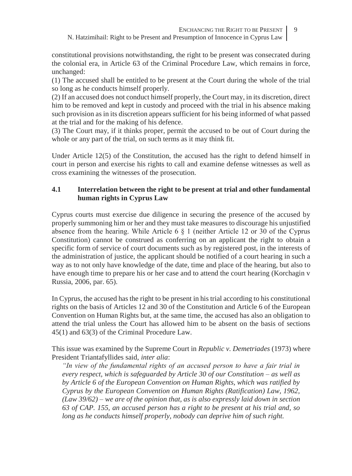constitutional provisions notwithstanding, the right to be present was consecrated during the colonial era, in Article 63 of the Criminal Procedure Law, which remains in force, unchanged:

(1) The accused shall be entitled to be present at the Court during the whole of the trial so long as he conducts himself properly.

(2) If an accused does not conduct himself properly, the Court may, in its discretion, direct him to be removed and kept in custody and proceed with the trial in his absence making such provision as in its discretion appears sufficient for his being informed of what passed at the trial and for the making of his defence.

(3) The Court may, if it thinks proper, permit the accused to be out of Court during the whole or any part of the trial, on such terms as it may think fit.

Under Article 12(5) of the Constitution, the accused has the right to defend himself in court in person and exercise his rights to call and examine defense witnesses as well as cross examining the witnesses of the prosecution.

### **4.1 Interrelation between the right to be present at trial and other fundamental human rights in Cyprus Law**

Cyprus courts must exercise due diligence in securing the presence of the accused by properly summoning him or her and they must take measures to discourage his unjustified absence from the hearing. While Article  $6 \nless 1$  (neither Article 12 or 30 of the Cyprus Constitution) cannot be construed as conferring on an applicant the right to obtain a specific form of service of court documents such as by registered post, in the interests of the administration of justice, the applicant should be notified of a court hearing in such a way as to not only have knowledge of the date, time and place of the hearing, but also to have enough time to prepare his or her case and to attend the court hearing (Korchagin v Russia, 2006, par. 65).

In Cyprus, the accused has the right to be present in his trial according to his constitutional rights on the basis of Articles 12 and 30 of the Constitution and Article 6 of the European Convention on Human Rights but, at the same time, the accused has also an obligation to attend the trial unless the Court has allowed him to be absent on the basis of sections 45(1) and 63(3) of the Criminal Procedure Law.

This issue was examined by the Supreme Court in *Republic v. Demetriades* (1973) where President Triantafyllides said, *inter alia*:

*"In view of the fundamental rights of an accused person to have a fair trial in every respect, which is safeguarded by Article 30 of our Constitution – as well as by Article 6 of the European Convention on Human Rights, which was ratified by Cyprus by the European Convention on Human Rights (Ratification) Law, 1962, (Law 39/62) – we are of the opinion that, as is also expressly laid down in section 63 of CAP. 155, an accused person has a right to be present at his trial and, so long as he conducts himself properly, nobody can deprive him of such right.*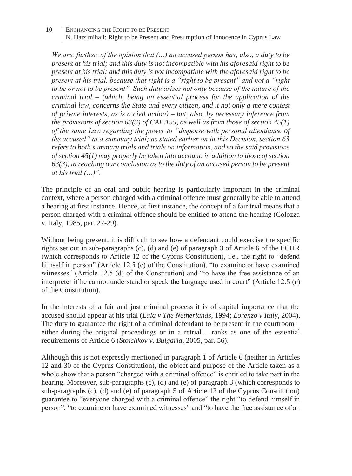*We are, further, of the opinion that (…) an accused person has, also, a duty to be present at his trial; and this duty is not incompatible with his aforesaid right to be present at his trial; and this duty is not incompatible with the aforesaid right to be present at his trial, because that right is a "right to be present" and not a "right to be or not to be present". Such duty arises not only because of the nature of the criminal trial – (which, being an essential process for the application of the criminal law, concerns the State and every citizen, and it not only a mere contest of private interests, as is a civil action) – but, also, by necessary inference from the provisions of section 63(3) of CAP.155, as well as from those of section 45(1) of the same Law regarding the power to "dispense with personal attendance of the accused" at a summary trial; as stated earlier on in this Decision, section 63 refers to both summary trials and trials on information, and so the said provisions of section 45(1) may properly be taken into account, in addition to those of section 63(3), in reaching our conclusion as to the duty of an accused person to be present at his trial (…)".*

The principle of an oral and public hearing is particularly important in the criminal context, where a person charged with a criminal offence must generally be able to attend a hearing at first instance. Hence, at first instance, the concept of a fair trial means that a person charged with a criminal offence should be entitled to attend the hearing (Colozza v. Italy, 1985, par. 27-29).

Without being present, it is difficult to see how a defendant could exercise the specific rights set out in sub-paragraphs (c), (d) and (e) of paragraph 3 of Article 6 of the ECHR (which corresponds to Article 12 of the Cyprus Constitution), i.e., the right to "defend himself in person" (Article 12.5 (c) of the Constitution), "to examine or have examined witnesses" (Article 12.5 (d) of the Constitution) and "to have the free assistance of an interpreter if he cannot understand or speak the language used in court" (Article 12.5 (e) of the Constitution).

In the interests of a fair and just criminal process it is of capital importance that the accused should appear at his trial (*Lala v The Netherlands*, 1994; *Lorenzo v Italy*, 2004). The duty to guarantee the right of a criminal defendant to be present in the courtroom – either during the original proceedings or in a retrial – ranks as one of the essential requirements of Article 6 (*Stoichkov v. Bulgaria*, 2005, par. 56).

Although this is not expressly mentioned in paragraph 1 of Article 6 (neither in Articles 12 and 30 of the Cyprus Constitution), the object and purpose of the Article taken as a whole show that a person "charged with a criminal offence" is entitled to take part in the hearing. Moreover, sub-paragraphs (c), (d) and (e) of paragraph 3 (which corresponds to sub-paragraphs (c), (d) and (e) of paragraph 5 of Article 12 of the Cyprus Constitution) guarantee to "everyone charged with a criminal offence" the right "to defend himself in person", "to examine or have examined witnesses" and "to have the free assistance of an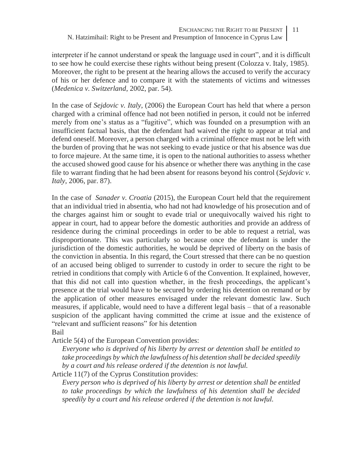interpreter if he cannot understand or speak the language used in court", and it is difficult to see how he could exercise these rights without being present (Colozza v. Italy, 1985). Moreover, the right to be present at the hearing allows the accused to verify the accuracy of his or her defence and to compare it with the statements of victims and witnesses (*Medenica v. Switzerland*, 2002, par. 54).

In the case of *Sejdovic v. Italy*, (2006) the European Court has held that where a person charged with a criminal offence had not been notified in person, it could not be inferred merely from one's status as a "fugitive", which was founded on a presumption with an insufficient factual basis, that the defendant had waived the right to appear at trial and defend oneself. Moreover, a person charged with a criminal offence must not be left with the burden of proving that he was not seeking to evade justice or that his absence was due to force majeure. At the same time, it is open to the national authorities to assess whether the accused showed good cause for his absence or whether there was anything in the case file to warrant finding that he had been absent for reasons beyond his control (*Sejdovic v. Italy*, 2006, par. 87).

In the case of *Sanader v. Croatia* (2015), the European Court held that the requirement that an individual tried in absentia, who had not had knowledge of his prosecution and of the charges against him or sought to evade trial or unequivocally waived his right to appear in court, had to appear before the domestic authorities and provide an address of residence during the criminal proceedings in order to be able to request a retrial, was disproportionate. This was particularly so because once the defendant is under the jurisdiction of the domestic authorities, he would be deprived of liberty on the basis of the conviction in absentia. In this regard, the Court stressed that there can be no question of an accused being obliged to surrender to custody in order to secure the right to be retried in conditions that comply with Article 6 of the Convention. It explained, however, that this did not call into question whether, in the fresh proceedings, the applicant's presence at the trial would have to be secured by ordering his detention on remand or by the application of other measures envisaged under the relevant domestic law. Such measures, if applicable, would need to have a different legal basis – that of a reasonable suspicion of the applicant having committed the crime at issue and the existence of "relevant and sufficient reasons" for his detention Bail

Article 5(4) of the European Convention provides:

*Everyone who is deprived of his liberty by arrest or detention shall be entitled to take proceedings by which the lawfulness of his detention shall be decided speedily by a court and his release ordered if the detention is not lawful.*

Article 11(7) of the Cyprus Constitution provides:

*Every person who is deprived of his liberty by arrest or detention shall be entitled to take proceedings by which the lawfulness of his detention shall be decided speedily by a court and his release ordered if the detention is not lawful.*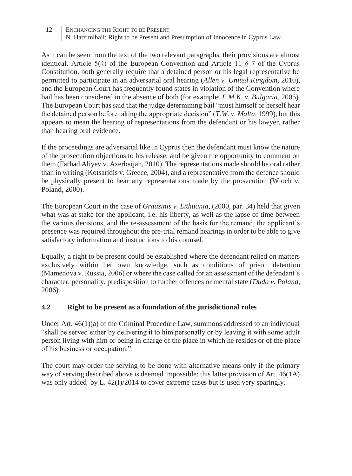As it can be seen from the text of the two relevant paragraphs, their provisions are almost identical. Article  $5(4)$  of the European Convention and Article 11  $\frac{8}{7}$  of the Cyprus Constitution, both generally require that a detained person or his legal representative be permitted to participate in an adversarial oral hearing (*Allen v. United Kingdom*, 2010), and the European Court has frequently found states in violation of the Convention where bail has been considered in the absence of both (for example: *E.M.K. v. Bulgaria*, 2005). The European Court has said that the judge determining bail "must himself or herself hear the detained person before taking the appropriate decision" (*T.W. v. Malta*, 1999), but this appears to mean the hearing of representations from the defendant or his lawyer, rather than hearing oral evidence.

If the proceedings are adversarial like in Cyprus then the defendant must know the nature of the prosecution objections to his release, and be given the opportunity to comment on them (Farhad Aliyev v. Azerbaijan, 2010). The representations made should be oral rather than in writing (Kotsaridis v. Greece, 2004), and a representative from the defence should be physically present to hear any representations made by the prosecution (Wloch v. Poland, 2000).

The European Court in the case of *Grauzinis v. Lithuania*, (2000, par. 34) held that given what was at stake for the applicant, i.e. his liberty, as well as the lapse of time between the various decisions, and the re-assessment of the basis for the remand, the applicant's presence was required throughout the pre-trial remand hearings in order to be able to give satisfactory information and instructions to his counsel.

Equally, a right to be present could be established where the defendant relied on matters exclusively within her own knowledge, such as conditions of prison detention (Mamedova v. Russia, 2006) or where the case called for an assessment of the defendant's character, personality, predisposition to further offences or mental state (*Duda v. Poland*, 2006).

#### **4.2 Right to be present as a foundation of the jurisdictional rules**

Under Art.  $46(1)(a)$  of the Criminal Procedure Law, summons addressed to an individual "shall be served either by delivering it to him personally or by leaving it with some adult person living with him or being in charge of the place in which he resides or of the place of his business or occupation."

The court may order the serving to be done with alternative means only if the primary way of serving described above is deemed impossible: this latter provision of Art. 46(1A) was only added by L. 42(I)/2014 to cover extreme cases but is used very sparingly.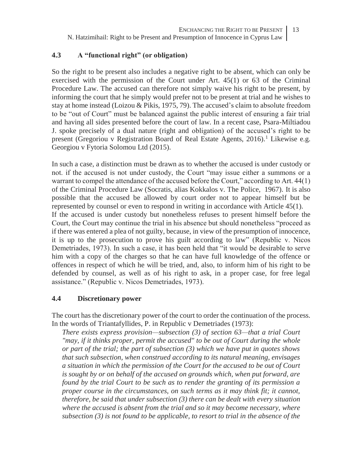#### **4.3 A "functional right" (or obligation)**

So the right to be present also includes a negative right to be absent, which can only be exercised with the permission of the Court under Art. 45(1) or 63 of the Criminal Procedure Law. The accused can therefore not simply waive his right to be present, by informing the court that he simply would prefer not to be present at trial and he wishes to stay at home instead (Loizou & Pikis, 1975, 79). The accused's claim to absolute freedom to be "out of Court" must be balanced against the public interest of ensuring a fair trial and having all sides presented before the court of law. In a recent case, Psara-Miltiadou J. spoke precisely of a dual nature (right and obligation) of the accused's right to be present (Gregoriou v Registration Board of Real Estate Agents,  $2016$ ).<sup>1</sup> Likewise e.g. Georgiou v Fytoria Solomou Ltd (2015).

In such a case, a distinction must be drawn as to whether the accused is under custody or not. if the accused is not under custody, the Court "may issue either a summons or a warrant to compel the attendance of the accused before the Court," according to Art. 44(1) of the Criminal Procedure Law (Socratis, alias Kokkalos v. The Police, 1967). It is also possible that the accused be allowed by court order not to appear himself but be represented by counsel or even to respond in writing in accordance with Article 45(1). If the accused is under custody but nonetheless refuses to present himself before the Court, the Court may continue the trial in his absence but should nonetheless "proceed as if there was entered a plea of not guilty, because, in view of the presumption of innocence, it is up to the prosecution to prove his guilt according to law" (Republic v. Nicos Demetriades, 1973). In such a case, it has been held that "it would be desirable to serve him with a copy of the charges so that he can have full knowledge of the offence or offences in respect of which he will be tried, and, also, to inform him of his right to be defended by counsel, as well as of his right to ask, in a proper case, for free legal assistance." (Republic v. Nicos Demetriades, 1973).

#### **4.4 Discretionary power**

The court has the discretionary power of the court to order the continuation of the process. In the words of Triantafyllides, P. in Republic v Demetriades (1973):

*There exists express provision—subsection (3) of section 63—that a trial Court "may, if it thinks proper, permit the accused" to be out of Court during the whole or part of the trial; the part of subsection (3) which we have put in quotes shows that such subsection, when construed according to its natural meaning, envisages a situation in which the permission of the Court for the accused to be out of Court is sought by or on behalf of the accused on grounds which, when put forward, are found by the trial Court to be such as to render the granting of its permission a proper course in the circumstances, on such terms as it may think fit; it cannot, therefore, be said that under subsection (3) there can be dealt with every situation where the accused is absent from the trial and so it may become necessary, where subsection (3) is not found to be applicable, to resort to trial in the absence of the*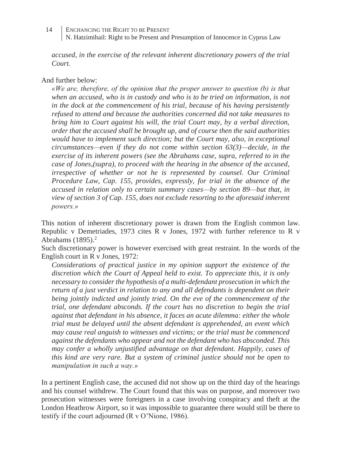*accused, in the exercise of the relevant inherent discretionary powers of the trial Court.*

#### And further below:

*«We are, therefore, of the opinion that the proper answer to question (b) is that when an accused, who is in custody and who is to be tried on information, is not in the dock at the commencement of his trial, because of his having persistently refused to attend and because the authorities concerned did not take measures to bring him to Court against his will, the trial Court may, by a verbal direction, order that the accused shall be brought up, and of course then the said authorities would have to implement such direction; but the Court may, also, in exceptional circumstances—even if they do not come within section 63(3)—decide, in the exercise of its inherent powers (see the Abrahams case, supra, referred to in the case of Jones,(supra), to proceed with the hearing in the absence of the accused, irrespective of whether or not he is represented by counsel. Our Criminal Procedure Law, Cap. 155, provides, expressly, for trial in the absence of the accused in relation only to certain summary cases—by section 89—but that, in view of section 3 of Cap. 155, does not exclude resorting to the aforesaid inherent powers.»*

This notion of inherent discretionary power is drawn from the English common law. Republic v Demetriades, 1973 cites R v Jones, 1972 with further reference to R v Abrahams  $(1895).<sup>2</sup>$ 

Such discretionary power is however exercised with great restraint. In the words of the English court in R v Jones, 1972:

*Considerations of practical justice in my opinion support the existence of the discretion which the Court of Appeal held to exist. To appreciate this, it is only necessary to consider the hypothesis of a multi-defendant prosecution in which the return of a just verdict in relation to any and all defendants is dependent on their being jointly indicted and jointly tried. On the eve of the commencement of the trial, one defendant absconds. If the court has no discretion to begin the trial against that defendant in his absence, it faces an acute dilemma: either the whole trial must be delayed until the absent defendant is apprehended, an event which may cause real anguish to witnesses and victims; or the trial must be commenced against the defendants who appear and not the defendant who has absconded. This may confer a wholly unjustified advantage on that defendant. Happily, cases of this kind are very rare. But a system of criminal justice should not be open to manipulation in such a way.»*

In a pertinent English case, the accused did not show up on the third day of the hearings and his counsel withdrew. The Court found that this was on purpose, and moreover two prosecution witnesses were foreigners in a case involving conspiracy and theft at the London Heathrow Airport, so it was impossible to guarantee there would still be there to testify if the court adjourned (R v O'Nione, 1986).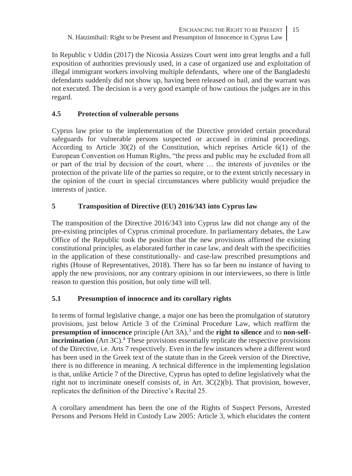In Republic v Uddin (2017) the Nicosia Assizes Court went into great lengths and a full exposition of authorities previously used, in a case of organized use and exploitation of illegal immigrant workers involving multiple defendants, where one of the Bangladeshi defendants suddenly did not show up, having been released on bail, and the warrant was not executed. The decision is a very good example of how cautious the judges are in this regard.

## **4.5 Protection of vulnerable persons**

Cyprus law prior to the implementation of the Directive provided certain procedural safeguards for vulnerable persons suspected or accused in criminal proceedings. According to Article 30(2) of the Constitution, which reprises Article 6(1) of the European Convention on Human Rights, "the press and public may be excluded from all or part of the trial by decision of the court, where … the interests of juveniles or the protection of the private life of the parties so require, or to the extent strictly necessary in the opinion of the court in special circumstances where publicity would prejudice the interests of justice.

## **5 Transposition of Directive (EU) 2016/343 into Cyprus law**

The transposition of the Directive 2016/343 into Cyprus law did not change any of the pre-existing principles of Cyprus criminal procedure. In parliamentary debates, the Law Office of the Republic took the position that the new provisions affirmed the existing constitutional principles, as elaborated further in case law, and dealt with the specificities in the application of these constitutionally- and case-law prescribed presumptions and rights (House of Representatives, 2018). There has so far been no instance of having to apply the new provisions, nor any contrary opinions in our interviewees, so there is little reason to question this position, but only time will tell.

## **5.1 Presumption of innocence and its corollary rights**

In terms of formal legislative change, a major one has been the promulgation of statutory provisions, just below Article 3 of the Criminal Procedure Law, which reaffirm the **presumption of innocence** principle (Art 3A),<sup>3</sup> and the **right to silence** and to **non-selfincrimination** (Art 3C).<sup>4</sup> These provisions essentially replicate the respective provisions of the Directive, i.e. Arts 7 respectively. Even in the few instances where a different word has been used in the Greek text of the statute than in the Greek version of the Directive, there is no difference in meaning. A technical difference in the implementing legislation is that, unlike Article 7 of the Directive, Cyprus has opted to define legislatively what the right not to incriminate oneself consists of, in Art.  $3C(2)(b)$ . That provision, however, replicates the definition of the Directive's Recital 25.

A corollary amendment has been the one of the Rights of Suspect Persons, Arrested Persons and Persons Held in Custody Law 2005: Article 3, which elucidates the content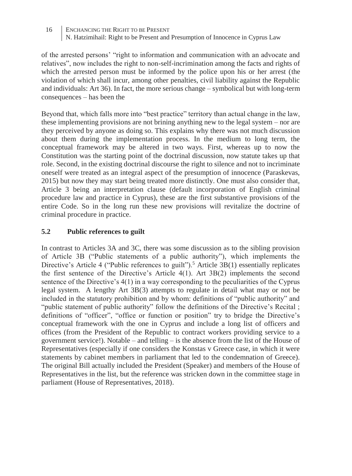of the arrested persons' "right to information and communication with an advocate and relatives", now includes the right to non-self-incrimination among the facts and rights of which the arrested person must be informed by the police upon his or her arrest (the violation of which shall incur, among other penalties, civil liability against the Republic and individuals: Art 36). In fact, the more serious change – symbolical but with long-term consequences – has been the

Beyond that, which falls more into "best practice" territory than actual change in the law, these implementing provisions are not brining anything new to the legal system – nor are they perceived by anyone as doing so. This explains why there was not much discussion about them during the implementation process. In the medium to long term, the conceptual framework may be altered in two ways. First, whereas up to now the Constitution was the starting point of the doctrinal discussion, now statute takes up that role. Second, in the existing doctrinal discourse the right to silence and not to incriminate oneself were treated as an integral aspect of the presumption of innocence (Paraskevas, 2015) but now they may start being treated more distinctly. One must also consider that, Article 3 being an interpretation clause (default incorporation of English criminal procedure law and practice in Cyprus), these are the first substantive provisions of the entire Code. So in the long run these new provisions will revitalize the doctrine of criminal procedure in practice.

## **5.2 Public references to guilt**

In contrast to Articles 3A and 3C, there was some discussion as to the sibling provision of Article 3B ("Public statements of a public authority"), which implements the Directive's Article 4 ("Public references to guilt").<sup>5</sup> Article 3B(1) essentially replicates the first sentence of the Directive's Article 4(1). Art 3B(2) implements the second sentence of the Directive's 4(1) in a way corresponding to the peculiarities of the Cyprus legal system. A lengthy Art 3B(3) attempts to regulate in detail what may or not be included in the statutory prohibition and by whom: definitions of "public authority" and "public statement of public authority" follow the definitions of the Directive's Recital ; definitions of "officer", "office or function or position" try to bridge the Directive's conceptual framework with the one in Cyprus and include a long list of officers and offices (from the President of the Republic to contract workers providing service to a government service!). Notable – and telling – is the absence from the list of the House of Representatives (especially if one considers the Konstas v Greece case, in which it were statements by cabinet members in parliament that led to the condemnation of Greece). The original Bill actually included the President (Speaker) and members of the House of Representatives in the list, but the reference was stricken down in the committee stage in parliament (House of Representatives, 2018).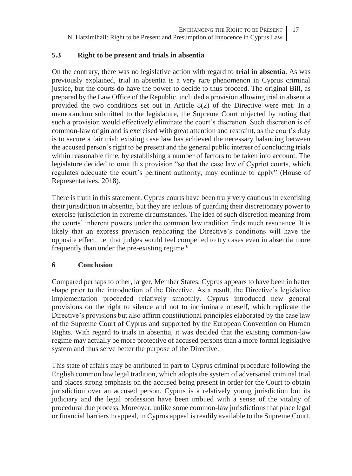#### **5.3 Right to be present and trials in absentia**

On the contrary, there was no legislative action with regard to **trial in absentia**. As was previously explained, trial in absentia is a very rare phenomenon in Cyprus criminal justice, but the courts do have the power to decide to thus proceed. The original Bill, as prepared by the Law Office of the Republic, included a provision allowing trial in absentia provided the two conditions set out in Article 8(2) of the Directive were met. In a memorandum submitted to the legislature, the Supreme Court objected by noting that such a provision would effectively eliminate the court's discretion. Such discretion is of common-law origin and is exercised with great attention and restraint, as the court's duty is to secure a fair trial: existing case law has achieved the necessary balancing between the accused person's right to be present and the general public interest of concluding trials within reasonable time, by establishing a number of factors to be taken into account. The legislature decided to omit this provision "so that the case law of Cypriot courts, which regulates adequate the court's pertinent authority, may continue to apply" (House of Representatives, 2018).

There is truth in this statement. Cyprus courts have been truly very cautious in exercising their jurisdiction in absentia, but they are jealous of guarding their discretionary power to exercise jurisdiction in extreme circumstances. The idea of such discretion meaning from the courts' inherent powers under the common law tradition finds much resonance. It is likely that an express provision replicating the Directive's conditions will have the opposite effect, i.e. that judges would feel compelled to try cases even in absentia more frequently than under the pre-existing regime.<sup>6</sup>

#### **6 Conclusion**

Compared perhaps to other, larger, Member States, Cyprus appears to have been in better shape prior to the introduction of the Directive. As a result, the Directive's legislative implementation proceeded relatively smoothly. Cyprus introduced new general provisions on the right to silence and not to incriminate oneself, which replicate the Directive's provisions but also affirm constitutional principles elaborated by the case law of the Supreme Court of Cyprus and supported by the European Convention on Human Rights. With regard to trials in absentia, it was decided that the existing common-law regime may actually be more protective of accused persons than a more formal legislative system and thus serve better the purpose of the Directive.

This state of affairs may be attributed in part to Cyprus criminal procedure following the English common law legal tradition, which adopts the system of adversarial criminal trial and places strong emphasis on the accused being present in order for the Court to obtain jurisdiction over an accused person. Cyprus is a relatively young jurisdiction but its judiciary and the legal profession have been imbued with a sense of the vitality of procedural due process. Moreover, unlike some common-law jurisdictions that place legal or financial barriers to appeal, in Cyprus appeal is readily available to the Supreme Court.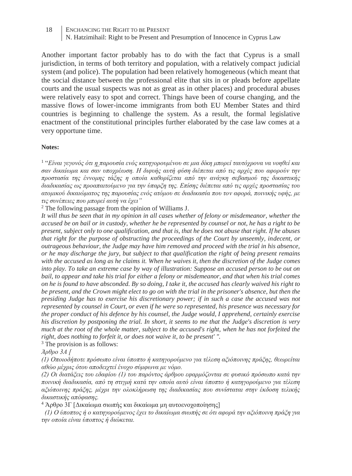Another important factor probably has to do with the fact that Cyprus is a small jurisdiction, in terms of both territory and population, with a relatively compact judicial system (and police). The population had been relatively homogeneous (which meant that the social distance between the professional elite that sits in or pleads before appellate courts and the usual suspects was not as great as in other places) and procedural abuses were relatively easy to spot and correct. Things have been of course changing, and the massive flows of lower-income immigrants from both EU Member States and third countries is beginning to challenge the system. As a result, the formal legislative enactment of the constitutional principles further elaborated by the case law comes at a very opportune time.

#### **Notes:**

<sup>1</sup> "Είναι γεγονός ότι <u>η </u>παρουσία ενός κατηγορουμένου σε μια δίκη μπορεί ταυτόχρονα να νοηθεί και *σαν δικαίωμα και σαν υποχρέωση. Η διφυής αυτή φύση διέπεται από τις αρχές που αφορούν την προστασία της έννομης τάξης η οποία καθορίζεται από την ανάγκη σεβασμού της δικαστικής διαδικασίας ως προαπαιτούμενο για την ύπαρξη της. Επίσης διέπεται από τις αρχές προστασίας του ατομικού δικαιώματος της παρουσίας ενός ατόμου σε διαδικασία που τον αφορά, ποινικής υφής, με τις συνέπειες που μπορεί αυτή να έχει"*

<sup>2</sup> The following passage from the opinion of Williams J.

*It will thus be seen that in my opinion in all cases whether of felony or misdemeanor, whether the accused be on bail or in custody, whether he be represented by counsel or not, he has a right to be present, subject only to one qualification, and that is, that he does not abuse that right. If he abuses that right for the purpose of obstructing the proceedings of the Court by unseemly, indecent, or outrageous behaviour, the Judge may have him removed and proceed with the trial in his absence, or he may discharge the jury, but subject to that qualification the right of being present remains with the accused as long as he claims it. When he waives it, then the discretion of the Judge comes into play. To take an extreme case by way of illustration: Suppose an accused person to be out on bail, to appear and take his trial for either a felony or misdemeanor, and that when his trial comes on he is found to have absconded. By so doing, I take it, the accused has clearly waived his right to be present, and the Crown might elect to go on with the trial in the prisoner's absence, but then the presiding Judge has to exercise his discretionary power; if in such a case the accused was not represented by counsel in Court, or even if he were so represented, his presence was necessary for the proper conduct of his defence by his counsel, the Judge would, I apprehend, certainly exercise his discretion by postponing the trial. In short, it seems to me that the Judge's discretion is very much at the root of the whole matter, subject to the accused's right, when he has not forfeited the right, does nothing to forfeit it, or does not waive it, to be present' ".*

<sup>3</sup> The provision is as follows:

*Άρθρο 3Α [*

*(1) Οποιοδήποτε πρόσωπο είναι ύποπτο ή κατηγορούμενο για τέλεση αξιόποινης πράξης, θεωρείται αθώο μέχρις ότου αποδειχτεί ένοχο σύμφωνα με νόμο.*

*(2) Οι διατάξεις του εδαφίου (1) του παρόντος άρθρου εφαρμόζονται σε φυσικό πρόσωπο κατά την ποινική διαδικασία, από τη στιγμή κατά την οποία αυτό είναι ύποπτο ή κατηγορούμενο για τέλεση αξιόποινης πράξης, μέχρι την ολοκλήρωση της διαδικασίας που συνίσταται στην έκδοση τελικής δικαστικής απόφασης.*

<sup>4</sup> Άρθρο 3Γ [Δικαίωμα σιωπής και δικαίωμα μη αυτοενοχοποίησης]

 *(1) Ο ύποπτος ή ο κατηγορούμενος έχει το δικαίωμα σιωπής σε ότι αφορά την αξιόποινη πράξη για την οποία είναι ύποπτος ή διώκεται.*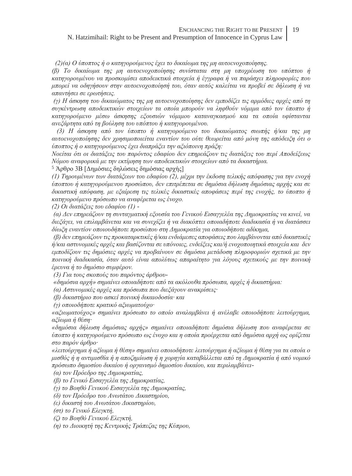#### N. Hatzimihail: Right to be Present and Presumption of Innocence in Cyprus Law

 *(2)(α) Ο ύποπτος ή ο κατηγορούμενος έχει το δικαίωμα της μη αυτοενοχοποίησης.*

*(β) Το δικαίωμα της μη αυτοενοχοποίησης συνίσταται στη μη υποχρέωση του υπόπτου ή κατηγορουμένου να προσκομίσει αποδεικτικά στοιχεία ή έγγραφα ή να παράσχει πληροφορίες που μπορεί να οδηγήσουν στην αυτοενοχοποίησή του, όταν αυτός καλείται να προβεί σε δήλωση ή να απαντήσει σε ερωτήσεις.*

*(γ) Η άσκηση του δικαιώματος της μη αυτοενοχοποίησης δεν εμποδίζει τις αρμόδιες αρχές από τη συγκέντρωση αποδεικτικών στοιχείων τα οποία μπορούν να ληφθούν νόμιμα από τον ύποπτο ή κατηγορούμενο μέσω άσκησης εξουσιών νόμιμου καταναγκασμού και τα οποία υφίστανται ανεξάρτητα από τη βούληση του υπόπτου ή κατηγορουμένου.*

 *(3) Η άσκηση από τον ύποπτο ή κατηγορούμενο του δικαιώματος σιωπής ή/και της μη αυτοενοχοποίησης δεν χρησιμοποιείται εναντίον του ούτε θεωρείται από μόνη της απόδειξη ότι ο ύποπτος ή ο κατηγορούμενος έχει διαπράξει την αξιόποινη πράξη:*

*Νοείται ότι οι διατάξεις του παρόντος εδαφίου δεν επηρεάζουν τις διατάξεις του περί Αποδείξεως Νόμου αναφορικά με την εκτίμηση των αποδεικτικών στοιχείων από τα δικαστήρια.*

<sup>5</sup> Άρθρο 3Β [Δημόσιες δηλώσεις δημόσιας αρχής]

*(1) Τηρουμένων των διατάξεων του εδαφίου (2), μέχρι την έκδοση τελικής απόφασης για την ενοχή ύποπτου ή κατηγορούμενου προσώπου, δεν επιτρέπεται σε δημόσια δήλωση δημόσιας αρχής και σε δικαστική απόφαση, με εξαίρεση τις τελικές δικαστικές αποφάσεις περί της ενοχής, το ύποπτο ή κατηγορούμενο πρόσωπο να αναφέρεται ως ένοχο.*

*(2) Οι διατάξεις του εδαφίου (1) -*

*(α) Δεν επηρεάζουν τη συνταγματική εξουσία του Γενικού Εισαγγελέα της Δημοκρατίας να κινεί, να διεξάγει, να επιλαμβάνεται και να συνεχίζει ή να διακόπτει οποιαδήποτε διαδικασία ή να διατάσσει δίωξη εναντίον οποιουδήποτε προσώπου στη Δημοκρατία για οποιοδήποτε αδίκημα,*

*(β) δεν επηρεάζουν τις προκαταρκτικές ή/και ενδιάμεσες αποφάσεις που λαμβάνονται από δικαστικές ή/και αστυνομικές αρχές και βασίζονται σε υπόνοιες, ενδείξεις και/ή ενοχοποιητικά στοιχεία και δεν εμποδίζουν τις δημόσιες αρχές να προβαίνουν σε δημόσια μετάδοση πληροφοριών σχετικά με την ποινική διαδικασία, όταν αυτό είναι απολύτως απαραίτητο για λόγους σχετικούς με την ποινική έρευνα ή το δημόσιο συμφέρον.*

*(3) Για τους σκοπούς του παρόντος άρθρου-*

*«δημόσια αρχή» σημαίνει οποιαδήποτε από τα ακόλουθα πρόσωπα, αρχές ή δικαστήρια:*

*(α) Αστυνομικές αρχές και πρόσωπα που διεξάγουν ανακρίσεις·*

*(β) δικαστήριο που ασκεί ποινική δικαιοδοσία· και*

*(γ) οποιοδήποτε κρατικό αξιωματούχο·*

*«αξιωματούχος» σημαίνει πρόσωπο το οποίο αναλαμβάνει ή ανέλαβε οποιοδήποτε λειτούργημα, αξίωμα ή θέση·*

*«δημόσια δήλωση δημόσιας αρχής» σημαίνει οποιαδήποτε δημόσια δήλωση που αναφέρεται σε ύποπτο ή κατηγορούμενο πρόσωπο ως ένοχο και η οποία προέρχεται από δημόσια αρχή ως ορίζεται στο παρόν άρθρο·*

*«λειτούργημα ή αξίωμα ή θέση» σημαίνει οποιοδήποτε λειτούργημα ή αξίωμα ή θέση για τα οποία ο μισθός ή η αντιμισθία ή η αποζημίωση ή η χορηγία καταβάλλεται από τη Δημοκρατία ή από νομικό πρόσωπο δημοσίου δικαίου ή οργανισμό δημοσίου δικαίου, και περιλαμβάνει-*

*(α) τον Πρόεδρο της Δημοκρατίας,*

*(β) το Γενικό Εισαγγελέα της Δημοκρατίας,*

*(γ) το Βοηθό Γενικού Εισαγγελέα της Δημοκρατίας,*

*(δ) τον Πρόεδρο του Ανωτάτου Δικαστηρίου,*

*(ε) δικαστή του Ανωτάτου Δικαστηρίου,*

*(στ) το Γενικό Ελεγκτή,*

*(ζ) το Βοηθό Γενικού Ελεγκτή,*

*(η) το Διοικητή της Κεντρικής Τράπεζας της Κύπρου,*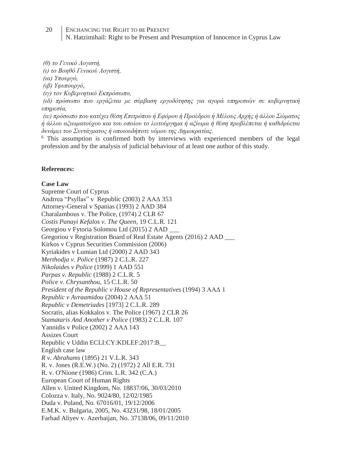*(θ) το Γενικό Λογιστή,*

*(ι) το Βοηθό Γενικού Λογιστή,*

*(ια) Υπουργό,*

*(ιβ) Υφυπουργό,*

*(ιγ) τον Κυβερνητικό Εκπρόσωπο,*

*(ιδ) πρόσωπο που εργάζεται με σύμβαση εργοδότησης για αγορά υπηρεσιών σε κυβερνητική υπηρεσία,*

*(ιε) πρόσωπο που κατέχει θέση Επιτρόπου ή Εφόρου ή Προέδρου ή Μέλους Αρχής ή άλλου Σώματος ή άλλου αξιωματούχου και του οποίου το λειτούργημα ή αξίωμα ή θέση προβλέπεται ή καθιδρύεται δυνάμει του Συντάγματος ή οποιουδήποτε νόμου της Δημοκρατίας.*

<sup>6</sup> This assumption is confirmed both by interviews with experienced members of the legal profession and by the analysis of judicial behaviour of at least one author of this study.

#### **References:**

#### **Case Law**

Supreme Court of Cyprus Andrrea "Psyllas" v Republic (2003) 2 ΑΑΔ 353 Attorney-General v Spanias (1993) 2 AAD 384 Charalambous v. The Police, (1974) 2 CLR 67 *Costis Panayi Kefalos v. The Queen,* 19 C.L.R. 121 Georgiou v Fytoria Solomou Ltd (2015) 2 AAD \_\_\_ Gregoriou v Registration Board of Real Estate Agents (2016) 2 AAD \_\_\_ Kirkos v Cyprus Securities Commission (2006) Kyriakides v Lumian Ltd (2000) 2 AAD 343 *Merthodja v. Police* (1987) 2 C.L.R. 227 *Nikolaides v Police* (1999) 1 AAD 551 *Parpas v. Republic* (1988) 2 C.L.R. 5 *Police v. Chrysanthou,* 15 C.L.R. 50 *President of the Republic v House of Representatives* (1994) 3 ΑΑΔ 1 *Republic v Avraamidou* (2004) 2 ΑΑΔ 51 *Republic v Demetriades* [1973] 2 C.L.R. 289 Socratis, alias Kokkalos v. The Police (1967) 2 CLR 26 *Stamataris And Another v Police* (1983) 2 C.L.R. 107 Yannidis v Police (2002) 2 ΑΑΔ 143 Assizes Court Republic v Uddin ECLI:CY:KDLEF:2017:B\_\_ English case law *R v. Abrahams* (1895) 21 V.L.R. 343 R. v. Jones (R.E.W.) (No. 2) (1972) 2 All E.R. 731 R. v. O'Nione (1986) Crim. L.R. 342 (C.A.) European Court of Human Rights Allen v. United Kingdom, No. 18837/06, 30/03/2010 Colozza v. Italy, No. 9024/80, 12/02/1985 Duda v. Poland, No. 67016/01, 19/12/2006 E.M.K. v. Bulgaria, 2005, No. 43231/98, 18/01/2005 Farhad Aliyev v. Azerbaijan, No. 37138/06, 09/11/2010